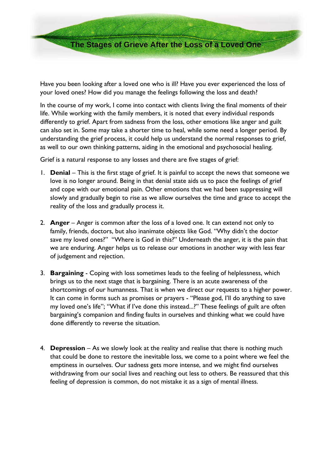**The Stages of Grieve After the Loss of a Loved One**

Have you been looking after a loved one who is ill? Have you ever experienced the loss of your loved ones? How did you manage the feelings following the loss and death?

In the course of my work, I come into contact with clients living the final moments of their life. While working with the family members, it is noted that every individual responds differently to grief. Apart from sadness from the loss, other emotions like anger and guilt can also set in. Some may take a shorter time to heal, while some need a longer period. By understanding the grief process, it could help us understand the normal responses to grief, as well to our own thinking patterns, aiding in the emotional and psychosocial healing.

Grief is a natural response to any losses and there are five stages of grief:

- 1. **Denial** This is the first stage of grief. It is painful to accept the news that someone we love is no longer around. Being in that denial state aids us to pace the feelings of grief and cope with our emotional pain. Other emotions that we had been suppressing will slowly and gradually begin to rise as we allow ourselves the time and grace to accept the reality of the loss and gradually process it.
- 2. **Anger** Anger is common after the loss of a loved one. It can extend not only to family, friends, doctors, but also inanimate objects like God. "Why didn't the doctor save my loved ones?" "Where is God in this?" Underneath the anger, it is the pain that we are enduring. Anger helps us to release our emotions in another way with less fear of judgement and rejection.
- 3. **Bargaining** Coping with loss sometimes leads to the feeling of helplessness, which brings us to the next stage that is bargaining. There is an acute awareness of the shortcomings of our humanness. That is when we direct our requests to a higher power. It can come in forms such as promises or prayers - "Please god, I'll do anything to save my loved one's life"; "What if I've done this instead...?" These feelings of guilt are often bargaining's companion and finding faults in ourselves and thinking what we could have done differently to reverse the situation.
- 4. **Depression** As we slowly look at the reality and realise that there is nothing much that could be done to restore the inevitable loss, we come to a point where we feel the emptiness in ourselves. Our sadness gets more intense, and we might find ourselves withdrawing from our social lives and reaching out less to others. Be reassured that this feeling of depression is common, do not mistake it as a sign of mental illness.